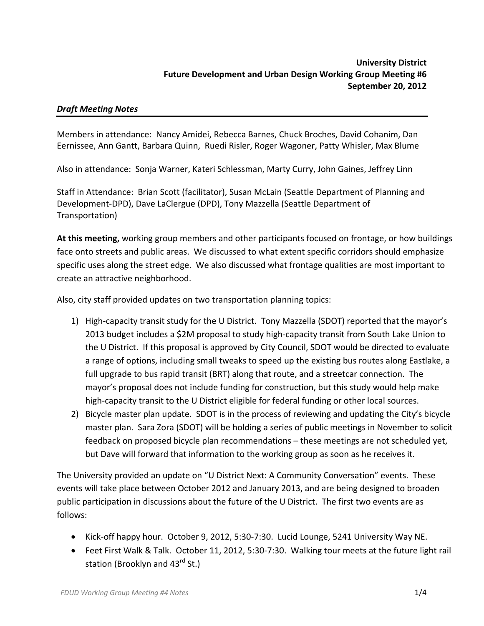# *Draft Meeting Notes*

Members in attendance: Nancy Amidei, Rebecca Barnes, Chuck Broches, David Cohanim, Dan Eernissee, Ann Gantt, Barbara Quinn, Ruedi Risler, Roger Wagoner, Patty Whisler, Max Blume

Also in attendance: Sonja Warner, Kateri Schlessman, Marty Curry, John Gaines, Jeffrey Linn

Staff in Attendance: Brian Scott (facilitator), Susan McLain (Seattle Department of Planning and Development‐DPD), Dave LaClergue (DPD), Tony Mazzella (Seattle Department of Transportation)

**At this meeting,** working group members and other participants focused on frontage, or how buildings face onto streets and public areas. We discussed to what extent specific corridors should emphasize specific uses along the street edge. We also discussed what frontage qualities are most important to create an attractive neighborhood.

Also, city staff provided updates on two transportation planning topics:

- 1) High-capacity transit study for the U District. Tony Mazzella (SDOT) reported that the mayor's 2013 budget includes a \$2M proposal to study high‐capacity transit from South Lake Union to the U District. If this proposal is approved by City Council, SDOT would be directed to evaluate a range of options, including small tweaks to speed up the existing bus routes along Eastlake, a full upgrade to bus rapid transit (BRT) along that route, and a streetcar connection. The mayor's proposal does not include funding for construction, but this study would help make high-capacity transit to the U District eligible for federal funding or other local sources.
- 2) Bicycle master plan update. SDOT is in the process of reviewing and updating the City's bicycle master plan. Sara Zora (SDOT) will be holding a series of public meetings in November to solicit feedback on proposed bicycle plan recommendations – these meetings are not scheduled yet, but Dave will forward that information to the working group as soon as he receives it.

The University provided an update on "U District Next: A Community Conversation" events. These events will take place between October 2012 and January 2013, and are being designed to broaden public participation in discussions about the future of the U District. The first two events are as follows:

- Kick‐off happy hour. October 9, 2012, 5:30‐7:30. Lucid Lounge, 5241 University Way NE.
- Feet First Walk & Talk. October 11, 2012, 5:30‐7:30. Walking tour meets at the future light rail station (Brooklyn and 43<sup>rd</sup> St.)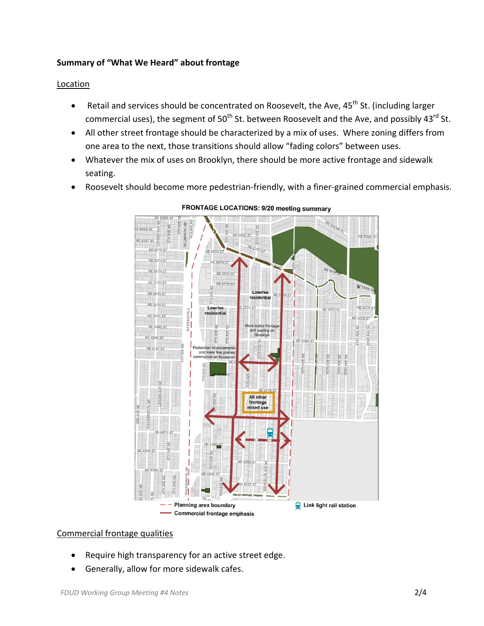### **Summary of "What We Heard" about frontage**

### **Location**

- Retail and services should be concentrated on Roosevelt, the Ave, 45<sup>th</sup> St. (including larger commercial uses), the segment of  $50<sup>th</sup>$  St. between Roosevelt and the Ave, and possibly 43<sup>rd</sup> St.
- All other street frontage should be characterized by a mix of uses. Where zoning differs from one area to the next, those transitions should allow "fading colors" between uses.
- Whatever the mix of uses on Brooklyn, there should be more active frontage and sidewalk seating.
- Roosevelt should become more pedestrian-friendly, with a finer-grained commercial emphasis.



**FRONTAGE LOCATIONS: 9/20 meeting summary** 

#### Commercial frontage qualities

- Require high transparency for an active street edge.
- Generally, allow for more sidewalk cafes.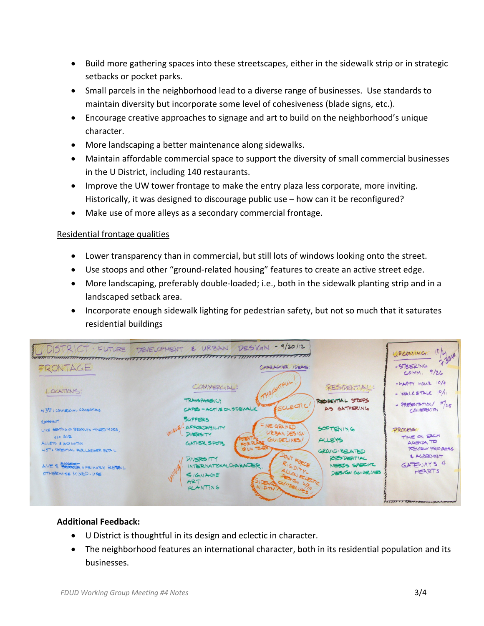- Build more gathering spaces into these streetscapes, either in the sidewalk strip or in strategic setbacks or pocket parks.
- Small parcels in the neighborhood lead to a diverse range of businesses. Use standards to maintain diversity but incorporate some level of cohesiveness (blade signs, etc.).
- Encourage creative approaches to signage and art to build on the neighborhood's unique character.
- More landscaping a better maintenance along sidewalks.
- Maintain affordable commercial space to support the diversity of small commercial businesses in the U District, including 140 restaurants.
- Improve the UW tower frontage to make the entry plaza less corporate, more inviting. Historically, it was designed to discourage public use – how can it be reconfigured?
- Make use of more alleys as a secondary commercial frontage.

# Residential frontage qualities

- Lower transparency than in commercial, but still lots of windows looking onto the street.
- Use stoops and other "ground-related housing" features to create an active street edge.
- More landscaping, preferably double-loaded; i.e., both in the sidewalk planting strip and in a landscaped setback area.
- Incorporate enough sidewalk lighting for pedestrian safety, but not so much that it saturates residential buildings



# **Additional Feedback:**

- U District is thoughtful in its design and eclectic in character.
- The neighborhood features an international character, both in its residential population and its businesses.